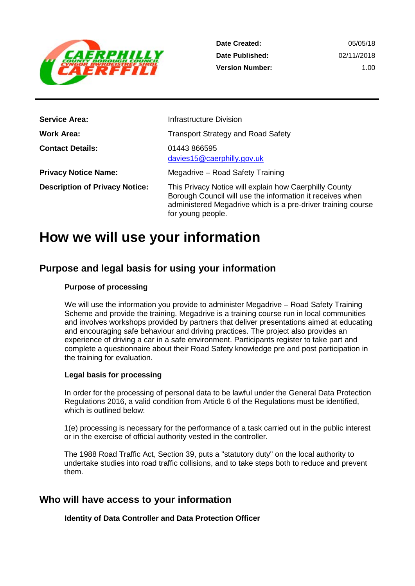

**Date Created: Date Published: Version Number:**

05/05/18 02/11//2018 1.00

| <b>Service Area:</b>                  | <b>Infrastructure Division</b>                                                                                                                                                                           |
|---------------------------------------|----------------------------------------------------------------------------------------------------------------------------------------------------------------------------------------------------------|
| Work Area:                            | <b>Transport Strategy and Road Safety</b>                                                                                                                                                                |
| <b>Contact Details:</b>               | 01443 866595<br>davies15@caerphilly.gov.uk                                                                                                                                                               |
| <b>Privacy Notice Name:</b>           | Megadrive - Road Safety Training                                                                                                                                                                         |
| <b>Description of Privacy Notice:</b> | This Privacy Notice will explain how Caerphilly County<br>Borough Council will use the information it receives when<br>administered Megadrive which is a pre-driver training course<br>for young people. |

## **How we will use your information**

## **Purpose and legal basis for using your information**

## **Purpose of processing**

We will use the information you provide to administer Megadrive – Road Safety Training Scheme and provide the training. Megadrive is a training course run in local communities and involves workshops provided by partners that deliver presentations aimed at educating and encouraging safe behaviour and driving practices. The project also provides an experience of driving a car in a safe environment. Participants register to take part and complete a questionnaire about their Road Safety knowledge pre and post participation in the training for evaluation.

## **Legal basis for processing**

In order for the processing of personal data to be lawful under the General Data Protection Regulations 2016, a valid condition from Article 6 of the Regulations must be identified, which is outlined below:

1(e) processing is necessary for the performance of a task carried out in the public interest or in the exercise of official authority vested in the controller.

The 1988 Road Traffic Act, Section 39, puts a "statutory duty" on the local authority to undertake studies into road traffic collisions, and to take steps both to reduce and prevent them.

## **Who will have access to your information**

**Identity of Data Controller and Data Protection Officer**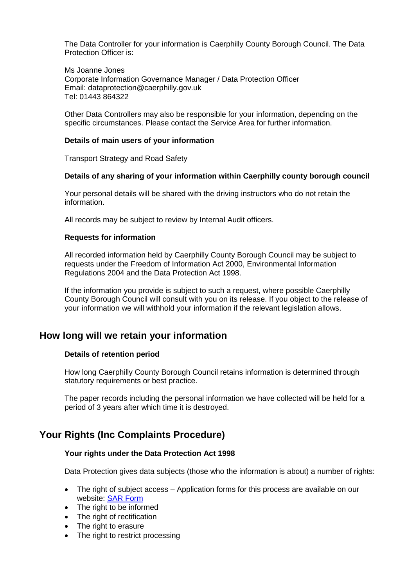The Data Controller for your information is Caerphilly County Borough Council. The Data Protection Officer is:

Ms Joanne Jones Corporate Information Governance Manager / Data Protection Officer Email: dataprotection@caerphilly.gov.uk Tel: 01443 864322

Other Data Controllers may also be responsible for your information, depending on the specific circumstances. Please contact the Service Area for further information.

#### **Details of main users of your information**

Transport Strategy and Road Safety

#### **Details of any sharing of your information within Caerphilly county borough council**

Your personal details will be shared with the driving instructors who do not retain the information.

All records may be subject to review by Internal Audit officers.

#### **Requests for information**

All recorded information held by Caerphilly County Borough Council may be subject to requests under the Freedom of Information Act 2000, Environmental Information Regulations 2004 and the Data Protection Act 1998.

If the information you provide is subject to such a request, where possible Caerphilly County Borough Council will consult with you on its release. If you object to the release of your information we will withhold your information if the relevant legislation allows.

## **How long will we retain your information**

## **Details of retention period**

How long Caerphilly County Borough Council retains information is determined through statutory requirements or best practice.

The paper records including the personal information we have collected will be held for a period of 3 years after which time it is destroyed.

## **Your Rights (Inc Complaints Procedure)**

#### **Your rights under the Data Protection Act 1998**

Data Protection gives data subjects (those who the information is about) a number of rights:

- The right of subject access Application forms for this process are available on our website: [SAR Form](http://www.caerphilly.gov.uk/CaerphillyDocs/Council-and-democracy/sar_form.aspx)
- The right to be informed
- The right of rectification
- The right to erasure
- The right to restrict processing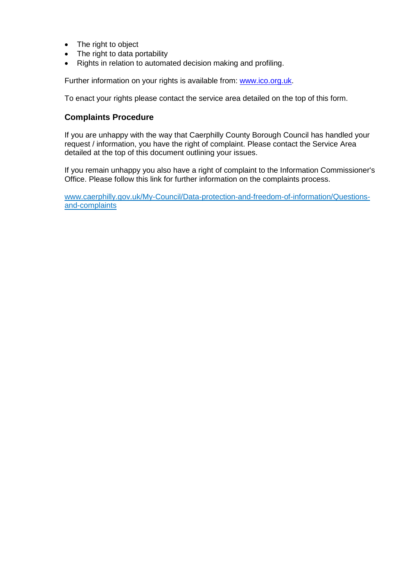- The right to object
- The right to data portability
- Rights in relation to automated decision making and profiling.

Further information on your rights is available from: [www.ico.org.uk.](http://www.ico.org.uk/)

To enact your rights please contact the service area detailed on the top of this form.

## **Complaints Procedure**

If you are unhappy with the way that Caerphilly County Borough Council has handled your request / information, you have the right of complaint. Please contact the Service Area detailed at the top of this document outlining your issues.

If you remain unhappy you also have a right of complaint to the Information Commissioner's Office. Please follow this link for further information on the complaints process.

[www.caerphilly.gov.uk/My-Council/Data-protection-and-freedom-of-information/Questions](http://www.caerphilly.gov.uk/My-Council/Data-protection-and-freedom-of-information/Questions-and-complaints)[and-complaints](http://www.caerphilly.gov.uk/My-Council/Data-protection-and-freedom-of-information/Questions-and-complaints)